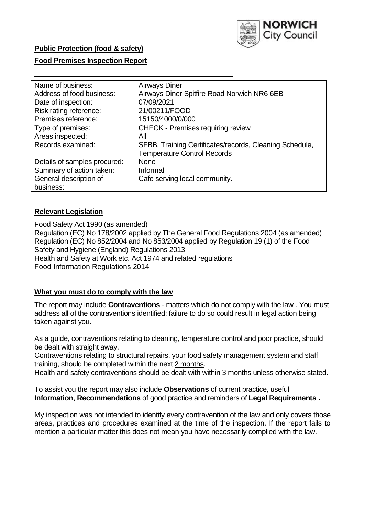

### **Public Protection (food & safety)**

#### **Food Premises Inspection Report**

| Name of business:            | <b>Airways Diner</b>                                    |
|------------------------------|---------------------------------------------------------|
| Address of food business:    | Airways Diner Spitfire Road Norwich NR6 6EB             |
| Date of inspection:          | 07/09/2021                                              |
| Risk rating reference:       | 21/00211/FOOD                                           |
| Premises reference:          | 15150/4000/0/000                                        |
| Type of premises:            | <b>CHECK - Premises requiring review</b>                |
| Areas inspected:             | All                                                     |
| Records examined:            | SFBB, Training Certificates/records, Cleaning Schedule, |
|                              | <b>Temperature Control Records</b>                      |
| Details of samples procured: | <b>None</b>                                             |
| Summary of action taken:     | Informal                                                |
| General description of       | Cafe serving local community.                           |
| business:                    |                                                         |

#### **Relevant Legislation**

Food Safety Act 1990 (as amended) Regulation (EC) No 178/2002 applied by The General Food Regulations 2004 (as amended) Regulation (EC) No 852/2004 and No 853/2004 applied by Regulation 19 (1) of the Food Safety and Hygiene (England) Regulations 2013 Health and Safety at Work etc. Act 1974 and related regulations Food Information Regulations 2014

#### **What you must do to comply with the law**

The report may include **Contraventions** - matters which do not comply with the law . You must address all of the contraventions identified; failure to do so could result in legal action being taken against you.

As a guide, contraventions relating to cleaning, temperature control and poor practice, should be dealt with straight away.

Contraventions relating to structural repairs, your food safety management system and staff training, should be completed within the next 2 months.

Health and safety contraventions should be dealt with within 3 months unless otherwise stated.

To assist you the report may also include **Observations** of current practice, useful **Information**, **Recommendations** of good practice and reminders of **Legal Requirements .**

My inspection was not intended to identify every contravention of the law and only covers those areas, practices and procedures examined at the time of the inspection. If the report fails to mention a particular matter this does not mean you have necessarily complied with the law.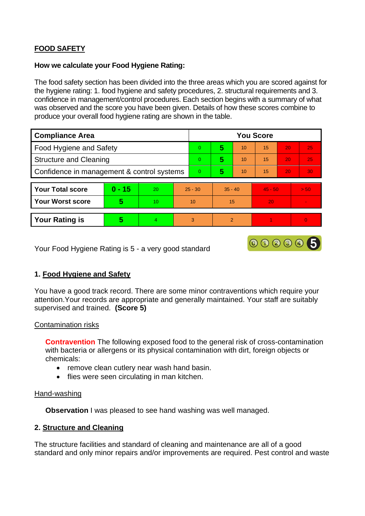# **FOOD SAFETY**

#### **How we calculate your Food Hygiene Rating:**

The food safety section has been divided into the three areas which you are scored against for the hygiene rating: 1. food hygiene and safety procedures, 2. structural requirements and 3. confidence in management/control procedures. Each section begins with a summary of what was observed and the score you have been given. Details of how these scores combine to produce your overall food hygiene rating are shown in the table.

| <b>Compliance Area</b>                     |          |    |          | <b>You Score</b> |               |    |           |    |          |  |  |
|--------------------------------------------|----------|----|----------|------------------|---------------|----|-----------|----|----------|--|--|
| Food Hygiene and Safety                    |          |    |          | $\overline{0}$   | 5             | 10 | 15        | 20 | 25       |  |  |
| <b>Structure and Cleaning</b>              |          |    |          | $\Omega$         | 5             | 10 | 15        | 20 | 25       |  |  |
| Confidence in management & control systems |          |    | $\Omega$ | 5                | 10            | 15 | 20        | 30 |          |  |  |
|                                            |          |    |          |                  |               |    |           |    |          |  |  |
| <b>Your Total score</b>                    | $0 - 15$ | 20 |          | $25 - 30$        | $35 - 40$     |    | $45 - 50$ |    | > 50     |  |  |
| <b>Your Worst score</b>                    | 5        | 10 | 10       |                  | 15            |    | 20        |    |          |  |  |
|                                            |          |    |          |                  |               |    |           |    |          |  |  |
| <b>Your Rating is</b>                      | 5        | 4  | 3        |                  | $\mathcal{P}$ |    |           |    | $\Omega$ |  |  |

Your Food Hygiene Rating is 5 - a very good standard

#### **1. Food Hygiene and Safety**

You have a good track record. There are some minor contraventions which require your attention.Your records are appropriate and generally maintained. Your staff are suitably supervised and trained. **(Score 5)**

000005

#### Contamination risks

**Contravention** The following exposed food to the general risk of cross-contamination with bacteria or allergens or its physical contamination with dirt, foreign objects or chemicals:

- remove clean cutlery near wash hand basin.
- flies were seen circulating in man kitchen.

#### Hand-washing

**Observation** I was pleased to see hand washing was well managed.

#### **2. Structure and Cleaning**

The structure facilities and standard of cleaning and maintenance are all of a good standard and only minor repairs and/or improvements are required. Pest control and waste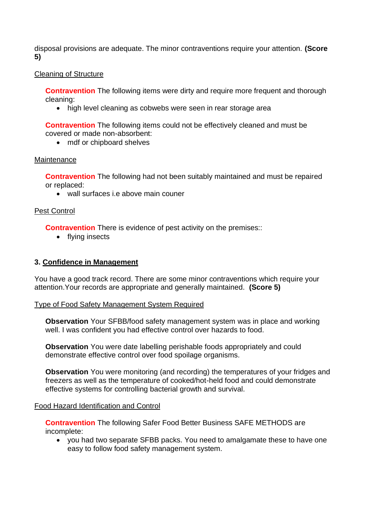disposal provisions are adequate. The minor contraventions require your attention. **(Score 5)**

### Cleaning of Structure

**Contravention** The following items were dirty and require more frequent and thorough cleaning:

• high level cleaning as cobwebs were seen in rear storage area

**Contravention** The following items could not be effectively cleaned and must be covered or made non-absorbent:

• mdf or chipboard shelves

### **Maintenance**

**Contravention** The following had not been suitably maintained and must be repaired or replaced:

• wall surfaces i.e above main couner

## Pest Control

**Contravention** There is evidence of pest activity on the premises::

• flying insects

## **3. Confidence in Management**

You have a good track record. There are some minor contraventions which require your attention.Your records are appropriate and generally maintained. **(Score 5)**

#### Type of Food Safety Management System Required

**Observation** Your SFBB/food safety management system was in place and working well. I was confident you had effective control over hazards to food.

**Observation** You were date labelling perishable foods appropriately and could demonstrate effective control over food spoilage organisms.

**Observation** You were monitoring (and recording) the temperatures of your fridges and freezers as well as the temperature of cooked/hot-held food and could demonstrate effective systems for controlling bacterial growth and survival.

#### Food Hazard Identification and Control

**Contravention** The following Safer Food Better Business SAFE METHODS are incomplete:

• you had two separate SFBB packs. You need to amalgamate these to have one easy to follow food safety management system.